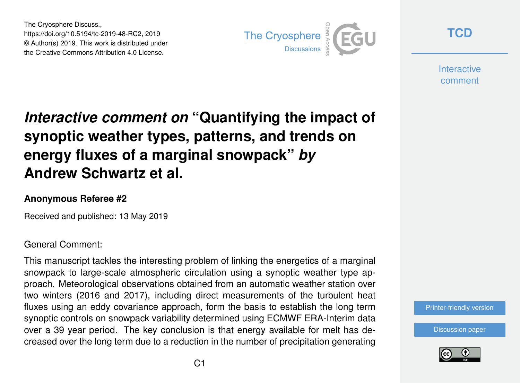The Cryosphere Discuss., https://doi.org/10.5194/tc-2019-48-RC2, 2019 © Author(s) 2019. This work is distributed under the Creative Commons Attribution 4.0 License.



**[TCD](https://www.the-cryosphere-discuss.net/)**

**Interactive** comment

# *Interactive comment on* **"Quantifying the impact of synoptic weather types, patterns, and trends on energy fluxes of a marginal snowpack"** *by* **Andrew Schwartz et al.**

### **Anonymous Referee #2**

Received and published: 13 May 2019

### General Comment:

This manuscript tackles the interesting problem of linking the energetics of a marginal snowpack to large-scale atmospheric circulation using a synoptic weather type approach. Meteorological observations obtained from an automatic weather station over two winters (2016 and 2017), including direct measurements of the turbulent heat fluxes using an eddy covariance approach, form the basis to establish the long term synoptic controls on snowpack variability determined using ECMWF ERA-Interim data over a 39 year period. The key conclusion is that energy available for melt has decreased over the long term due to a reduction in the number of precipitation generating

[Printer-friendly version](https://www.the-cryosphere-discuss.net/tc-2019-48/tc-2019-48-RC2-print.pdf)

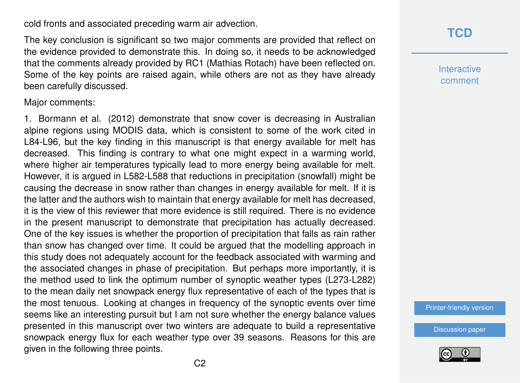cold fronts and associated preceding warm air advection.

The key conclusion is significant so two major comments are provided that reflect on the evidence provided to demonstrate this. In doing so, it needs to be acknowledged that the comments already provided by RC1 (Mathias Rotach) have been reflected on. Some of the key points are raised again, while others are not as they have already been carefully discussed.

Major comments:

1. Bormann et al. (2012) demonstrate that snow cover is decreasing in Australian alpine regions using MODIS data, which is consistent to some of the work cited in L84-L96, but the key finding in this manuscript is that energy available for melt has decreased. This finding is contrary to what one might expect in a warming world, where higher air temperatures typically lead to more energy being available for melt. However, it is argued in L582-L588 that reductions in precipitation (snowfall) might be causing the decrease in snow rather than changes in energy available for melt. If it is the latter and the authors wish to maintain that energy available for melt has decreased, it is the view of this reviewer that more evidence is still required. There is no evidence in the present manuscript to demonstrate that precipitation has actually decreased. One of the key issues is whether the proportion of precipitation that falls as rain rather than snow has changed over time. It could be argued that the modelling approach in this study does not adequately account for the feedback associated with warming and the associated changes in phase of precipitation. But perhaps more importantly, it is the method used to link the optimum number of synoptic weather types (L273-L282) to the mean daily net snowpack energy flux representative of each of the types that is the most tenuous. Looking at changes in frequency of the synoptic events over time seems like an interesting pursuit but I am not sure whether the energy balance values presented in this manuscript over two winters are adequate to build a representative snowpack energy flux for each weather type over 39 seasons. Reasons for this are given in the following three points.

**[TCD](https://www.the-cryosphere-discuss.net/)**

**Interactive** comment

[Printer-friendly version](https://www.the-cryosphere-discuss.net/tc-2019-48/tc-2019-48-RC2-print.pdf)

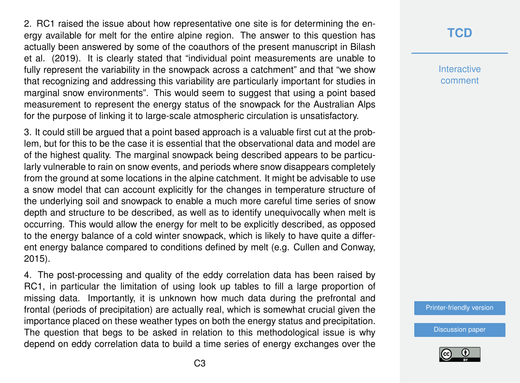2. RC1 raised the issue about how representative one site is for determining the energy available for melt for the entire alpine region. The answer to this question has actually been answered by some of the coauthors of the present manuscript in Bilash et al. (2019). It is clearly stated that "individual point measurements are unable to fully represent the variability in the snowpack across a catchment" and that "we show that recognizing and addressing this variability are particularly important for studies in marginal snow environments". This would seem to suggest that using a point based measurement to represent the energy status of the snowpack for the Australian Alps for the purpose of linking it to large-scale atmospheric circulation is unsatisfactory.

3. It could still be argued that a point based approach is a valuable first cut at the problem, but for this to be the case it is essential that the observational data and model are of the highest quality. The marginal snowpack being described appears to be particularly vulnerable to rain on snow events, and periods where snow disappears completely from the ground at some locations in the alpine catchment. It might be advisable to use a snow model that can account explicitly for the changes in temperature structure of the underlying soil and snowpack to enable a much more careful time series of snow depth and structure to be described, as well as to identify unequivocally when melt is occurring. This would allow the energy for melt to be explicitly described, as opposed to the energy balance of a cold winter snowpack, which is likely to have quite a different energy balance compared to conditions defined by melt (e.g. Cullen and Conway, 2015).

4. The post-processing and quality of the eddy correlation data has been raised by RC1, in particular the limitation of using look up tables to fill a large proportion of missing data. Importantly, it is unknown how much data during the prefrontal and frontal (periods of precipitation) are actually real, which is somewhat crucial given the importance placed on these weather types on both the energy status and precipitation. The question that begs to be asked in relation to this methodological issue is why depend on eddy correlation data to build a time series of energy exchanges over the

# **[TCD](https://www.the-cryosphere-discuss.net/)**

**Interactive** comment

[Printer-friendly version](https://www.the-cryosphere-discuss.net/tc-2019-48/tc-2019-48-RC2-print.pdf)

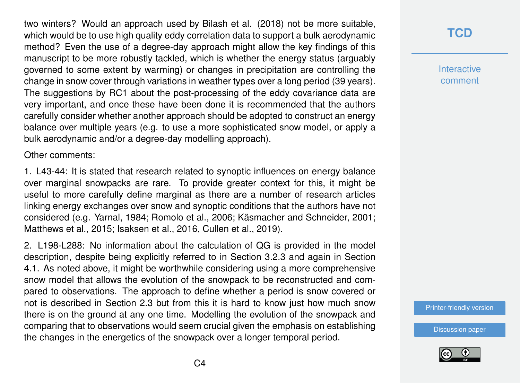two winters? Would an approach used by Bilash et al. (2018) not be more suitable, which would be to use high quality eddy correlation data to support a bulk aerodynamic method? Even the use of a degree-day approach might allow the key findings of this manuscript to be more robustly tackled, which is whether the energy status (arguably governed to some extent by warming) or changes in precipitation are controlling the change in snow cover through variations in weather types over a long period (39 years). The suggestions by RC1 about the post-processing of the eddy covariance data are very important, and once these have been done it is recommended that the authors carefully consider whether another approach should be adopted to construct an energy balance over multiple years (e.g. to use a more sophisticated snow model, or apply a bulk aerodynamic and/or a degree-day modelling approach).

Other comments:

1. L43-44: It is stated that research related to synoptic influences on energy balance over marginal snowpacks are rare. To provide greater context for this, it might be useful to more carefully define marginal as there are a number of research articles linking energy exchanges over snow and synoptic conditions that the authors have not considered (e.g. Yarnal, 1984; Romolo et al., 2006; Käsmacher and Schneider, 2001; Matthews et al., 2015; Isaksen et al., 2016, Cullen et al., 2019).

2. L198-L288: No information about the calculation of QG is provided in the model description, despite being explicitly referred to in Section 3.2.3 and again in Section 4.1. As noted above, it might be worthwhile considering using a more comprehensive snow model that allows the evolution of the snowpack to be reconstructed and compared to observations. The approach to define whether a period is snow covered or not is described in Section 2.3 but from this it is hard to know just how much snow there is on the ground at any one time. Modelling the evolution of the snowpack and comparing that to observations would seem crucial given the emphasis on establishing the changes in the energetics of the snowpack over a longer temporal period.

**[TCD](https://www.the-cryosphere-discuss.net/)**

**Interactive** comment

[Printer-friendly version](https://www.the-cryosphere-discuss.net/tc-2019-48/tc-2019-48-RC2-print.pdf)

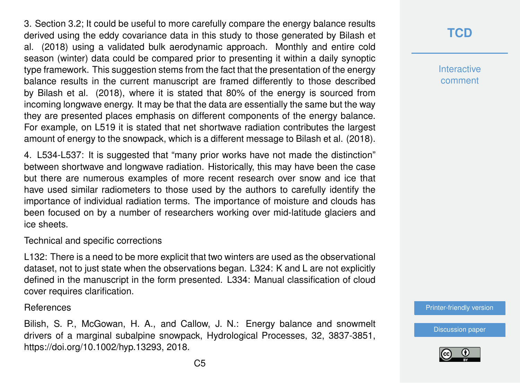3. Section 3.2; It could be useful to more carefully compare the energy balance results derived using the eddy covariance data in this study to those generated by Bilash et al. (2018) using a validated bulk aerodynamic approach. Monthly and entire cold season (winter) data could be compared prior to presenting it within a daily synoptic type framework. This suggestion stems from the fact that the presentation of the energy balance results in the current manuscript are framed differently to those described by Bilash et al. (2018), where it is stated that 80% of the energy is sourced from incoming longwave energy. It may be that the data are essentially the same but the way they are presented places emphasis on different components of the energy balance. For example, on L519 it is stated that net shortwave radiation contributes the largest amount of energy to the snowpack, which is a different message to Bilash et al. (2018).

4. L534-L537: It is suggested that "many prior works have not made the distinction" between shortwave and longwave radiation. Historically, this may have been the case but there are numerous examples of more recent research over snow and ice that have used similar radiometers to those used by the authors to carefully identify the importance of individual radiation terms. The importance of moisture and clouds has been focused on by a number of researchers working over mid-latitude glaciers and ice sheets.

Technical and specific corrections

L132: There is a need to be more explicit that two winters are used as the observational dataset, not to just state when the observations began. L324: K and L are not explicitly defined in the manuscript in the form presented. L334: Manual classification of cloud cover requires clarification.

References

Bilish, S. P., McGowan, H. A., and Callow, J. N.: Energy balance and snowmelt drivers of a marginal subalpine snowpack, Hydrological Processes, 32, 3837-3851, https://doi.org/10.1002/hyp.13293, 2018.

**[TCD](https://www.the-cryosphere-discuss.net/)**

**Interactive** comment

[Printer-friendly version](https://www.the-cryosphere-discuss.net/tc-2019-48/tc-2019-48-RC2-print.pdf)

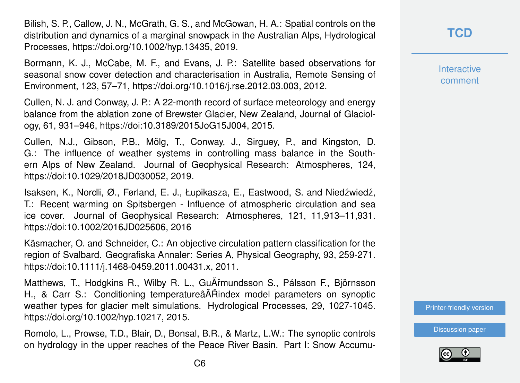Bilish, S. P., Callow, J. N., McGrath, G. S., and McGowan, H. A.: Spatial controls on the distribution and dynamics of a marginal snowpack in the Australian Alps, Hydrological Processes, https://doi.org/10.1002/hyp.13435, 2019.

Bormann, K. J., McCabe, M. F., and Evans, J. P.: Satellite based observations for seasonal snow cover detection and characterisation in Australia, Remote Sensing of Environment, 123, 57–71, https://doi.org/10.1016/j.rse.2012.03.003, 2012.

Cullen, N. J. and Conway, J. P.: A 22-month record of surface meteorology and energy balance from the ablation zone of Brewster Glacier, New Zealand, Journal of Glaciology, 61, 931–946, https://doi:10.3189/2015JoG15J004, 2015.

Cullen, N.J., Gibson, P.B., Mölg, T., Conway, J., Sirguey, P., and Kingston, D. G.: The influence of weather systems in controlling mass balance in the Southern Alps of New Zealand. Journal of Geophysical Research: Atmospheres, 124, https://doi:10.1029/2018JD030052, 2019.

Isaksen, K., Nordli, Ø., Førland, E. J., Łupikasza, E., Eastwood, S. and Niedźwiedź, T.: Recent warming on Spitsbergen - Influence of atmospheric circulation and sea ice cover. Journal of Geophysical Research: Atmospheres, 121, 11,913–11,931. https://doi:10.1002/2016JD025606, 2016

Käsmacher, O. and Schneider, C.: An objective circulation pattern classification for the region of Svalbard. Geografiska Annaler: Series A, Physical Geography, 93, 259-271. https://doi:10.1111/j.1468-0459.2011.00431.x, 2011.

Matthews, T., Hodgkins R., Wilby R. L., GuÃˇrmundsson S., Pálsson F., Björnsson H., & Carr S.: Conditioning temperatureâĂŘindex model parameters on synoptic weather types for glacier melt simulations. Hydrological Processes, 29, 1027-1045. https://doi.org/10.1002/hyp.10217, 2015.

Romolo, L., Prowse, T.D., Blair, D., Bonsal, B.R., & Martz, L.W.: The synoptic controls on hydrology in the upper reaches of the Peace River Basin. Part I: Snow Accumu**[TCD](https://www.the-cryosphere-discuss.net/)**

**Interactive** comment

[Printer-friendly version](https://www.the-cryosphere-discuss.net/tc-2019-48/tc-2019-48-RC2-print.pdf)